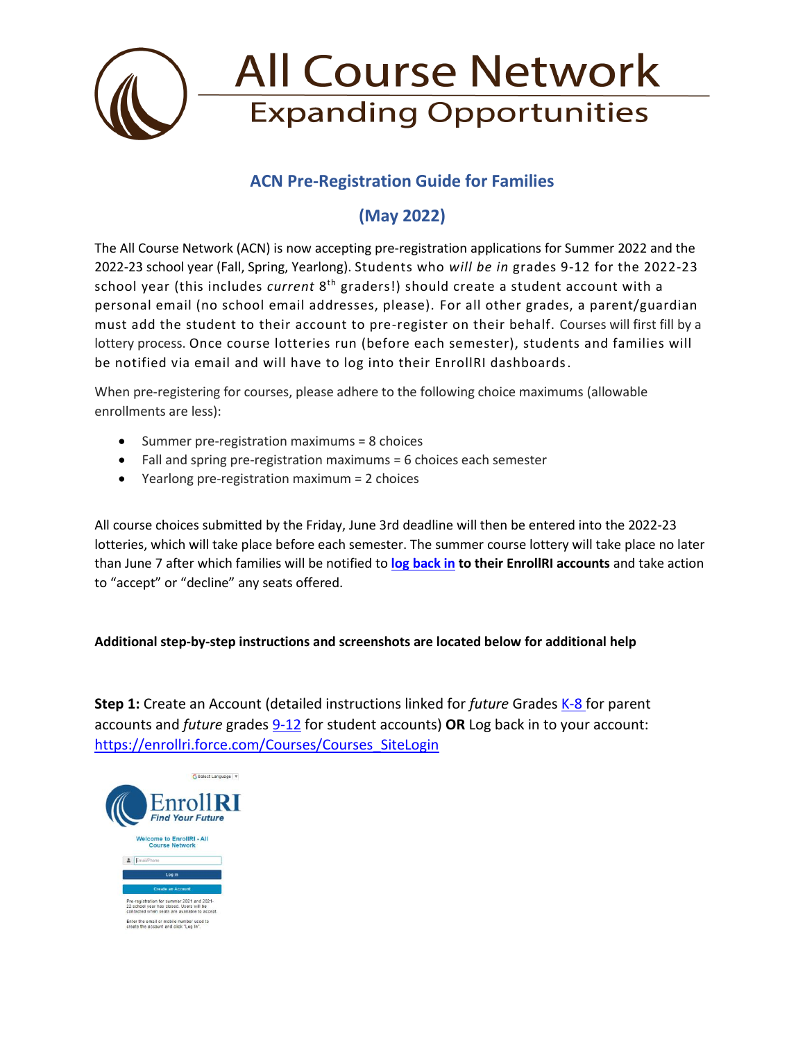

### **ACN Pre-Registration Guide for Families**

## **(May 2022)**

The All Course Network (ACN) is now accepting pre-registration applications for Summer 2022 and the 2022-23 school year (Fall, Spring, Yearlong). Students who *will be in* grades 9-12 for the 2022-23 school year (this includes *current* 8<sup>th</sup> graders!) should create a student account with a personal email (no school email addresses, please). For all other grades, a parent/guardian must add the student to their account to pre-register on their behalf. Courses will first fill by a lottery process. Once course lotteries run (before each semester), students and families will be notified via email and will have to log into their EnrollRI dashboards.

When pre-registering for courses, please adhere to the following choice maximums (allowable enrollments are less):

- Summer pre-registration maximums = 8 choices
- Fall and spring pre-registration maximums = 6 choices each semester
- Yearlong pre-registration maximum = 2 choices

All course choices submitted by the Friday, June 3rd deadline will then be entered into the 2022-23 lotteries, which will take place before each semester. The summer course lottery will take place no later than June 7 after which families will be notified to **[log back in](https://enrollri.force.com/Courses/Courses_SiteLogin) to their EnrollRI accounts** and take action to "accept" or "decline" any seats offered.

#### **Additional step-by-step instructions and screenshots are located below for additional help**

**Step 1:** Create an Account (detailed instructions linked for *future* Grades K-8 for parent accounts and *future* grades [9-12](about:blank) for student accounts) **OR** Log back in to your account: [https://enrollri.force.com/Courses/Courses\\_SiteLogin](https://enrollri.force.com/Courses/Courses_SiteLogin)

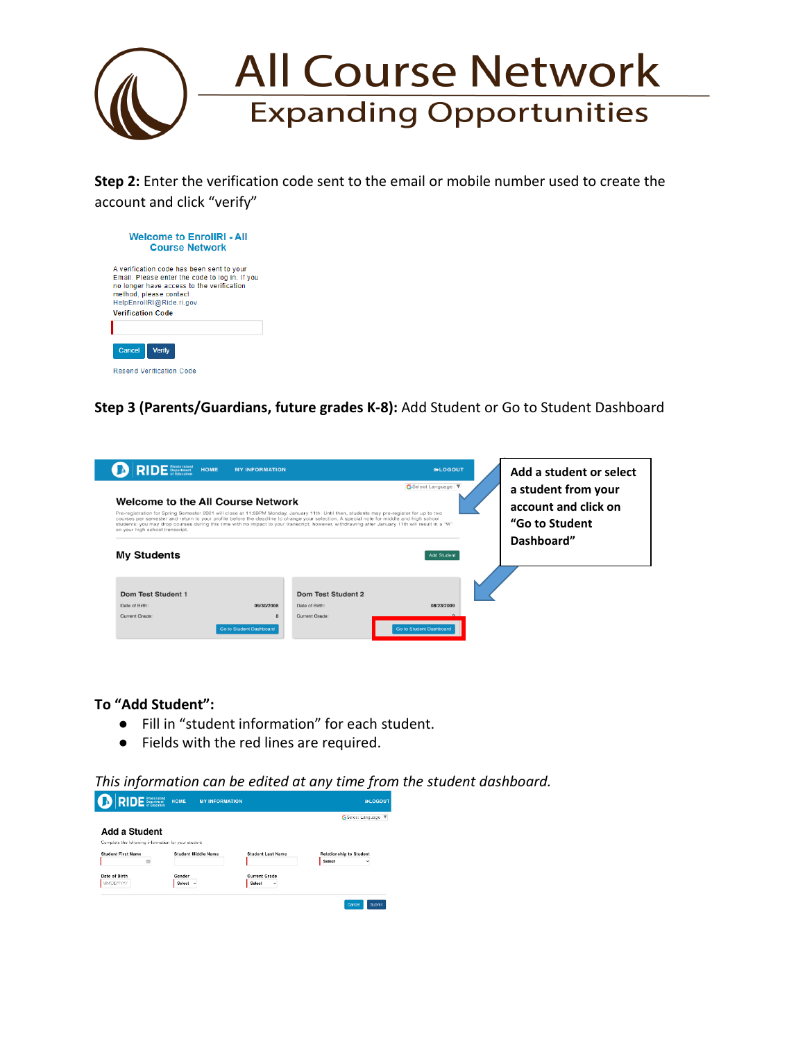

**Step 2:** Enter the verification code sent to the email or mobile number used to create the account and click "verify"



**Step 3 (Parents/Guardians, future grades K-8):** Add Student or Go to Student Dashboard

| <b>DE</b> Rhode Island<br><b>DE</b> Department HOME<br>Welcome to the All Course Network<br>Pre-registration for Spring Semester 2021 will close at 11:59PM Monday, January 11th. Until then, students may pre-register for up to two<br>courses per semester and return to your profile before the deadline to change your selection. A special note for middle and high school<br>students: you may drop courses during this time with no impact to your transcript; however, withdrawing after January 11th will result in a "W"<br>on your high school transcript.<br><b>My Students</b> | <b>MY INFORMATION</b>                                        |                                                        | <b>INLOGOUT</b><br>GSelect Language<br><b>Add Student</b> | Add a student or select<br>a student from your<br>account and click on<br>"Go to Student<br>Dashboard" |
|----------------------------------------------------------------------------------------------------------------------------------------------------------------------------------------------------------------------------------------------------------------------------------------------------------------------------------------------------------------------------------------------------------------------------------------------------------------------------------------------------------------------------------------------------------------------------------------------|--------------------------------------------------------------|--------------------------------------------------------|-----------------------------------------------------------|--------------------------------------------------------------------------------------------------------|
| Dom Test Student 1<br>Date of Birth:<br>Current Grade:                                                                                                                                                                                                                                                                                                                                                                                                                                                                                                                                       | 09/30/2008<br>$\mathbf{R}$<br><b>Go to Student Dashboard</b> | Dom Test Student 2<br>Date of Birth:<br>Current Grade: | 08/23/2009<br><b>Go to Student Dashboard</b>              |                                                                                                        |

**To "Add Student":** 

- Fill in "student information" for each student.
- Fields with the red lines are required.

*This information can be edited at any time from the student dashboard.*

| <b>INLOGOUT</b>                |                          | HOME<br><b>MY INFORMATION</b> | <b>RIDE</b> Systement                               |
|--------------------------------|--------------------------|-------------------------------|-----------------------------------------------------|
| G Select Language              |                          |                               |                                                     |
|                                |                          |                               | Add a Student                                       |
|                                |                          |                               | Complete the following information for your student |
| <b>Relationship to Student</b> | <b>Student Last Name</b> | <b>Student Middle Name</b>    | <b>Student First Name</b>                           |
| Soloct                         |                          |                               | 佰                                                   |
|                                | <b>Current Grade</b>     | Gender                        | Date of Birth                                       |
|                                | Select<br>٠              | Select v                      | MMDDAYYY                                            |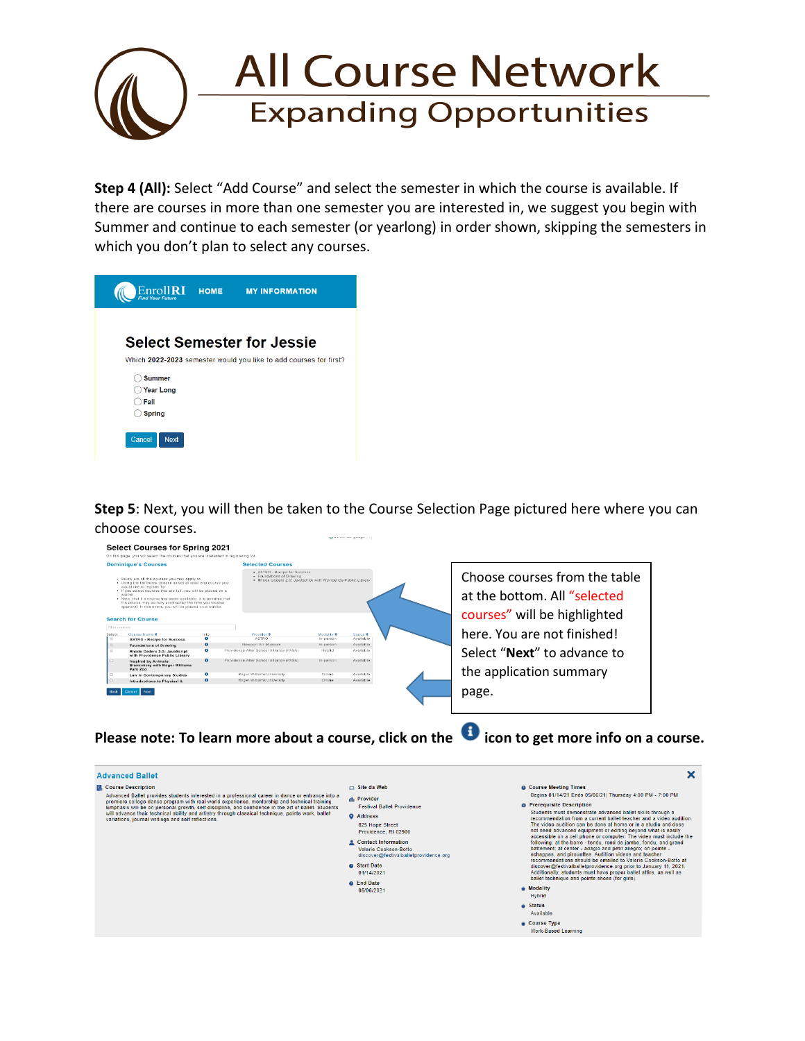# **All Course Network Expanding Opportunities**

**Step 4 (All):** Select "Add Course" and select the semester in which the course is available. If there are courses in more than one semester you are interested in, we suggest you begin with Summer and continue to each semester (or yearlong) in order shown, skipping the semesters in which you don't plan to select any courses.

| Enroll <b>RI</b>      | <b>HOME</b> | <b>MY INFORMATION</b>                                             |
|-----------------------|-------------|-------------------------------------------------------------------|
|                       |             |                                                                   |
|                       |             | <b>Select Semester for Jessie</b>                                 |
|                       |             | Which 2022-2023 semester would you like to add courses for first? |
| <b>Summer</b>         |             |                                                                   |
| <b>Year Long</b>      |             |                                                                   |
| Fall                  |             |                                                                   |
| <b>Spring</b>         |             |                                                                   |
| Cancel<br><b>Next</b> |             |                                                                   |

**Step 5**: Next, you will then be taken to the Course Selection Page pictured here where you can choose courses.



Please note: To learn more about a course, click on the **O** icon to get more info on a course.

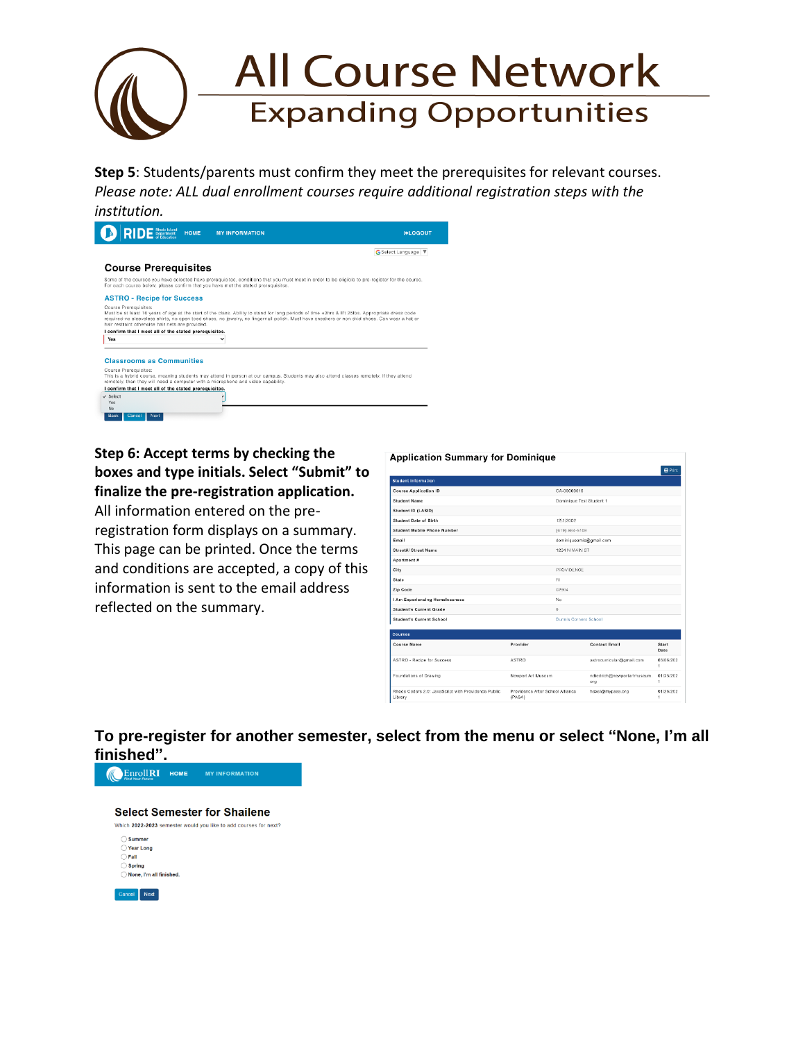

**Step 5**: Students/parents must confirm they meet the prerequisites for relevant courses. *Please note: ALL dual enrollment courses require additional registration steps with the institution.*



**Step 6: Accept terms by checking the boxes and type initials. Select "Submit" to finalize the pre-registration application.** 

All information entered on the preregistration form displays on a summary. This page can be printed. Once the terms and conditions are accepted, a copy of this information is sent to the email address reflected on the summary.

| <b>Application Summary for Dominique</b>                       |                                            |                          |                                    |                |
|----------------------------------------------------------------|--------------------------------------------|--------------------------|------------------------------------|----------------|
|                                                                |                                            |                          |                                    | <b>O</b> Print |
| <b>Student Information</b>                                     |                                            |                          |                                    |                |
| <b>Course Application ID</b>                                   |                                            | CA-00000016              |                                    |                |
| <b>Student Name</b>                                            |                                            | Dominique Test Student 1 |                                    |                |
| Student ID (LASID)                                             |                                            |                          |                                    |                |
| <b>Student Date of Birth</b>                                   |                                            | 12/2/2002                |                                    |                |
| Student Mobile Phone Number                                    |                                            | (619) 884-5109           |                                    |                |
| Email                                                          |                                            | dominiqueamis@gmail.com  |                                    |                |
| Street#/ Street Name                                           |                                            | 1234 N MAIN ST           |                                    |                |
| Apartment #                                                    |                                            |                          |                                    |                |
| City                                                           |                                            | <b>PROVIDENCE</b>        |                                    |                |
| State                                                          |                                            | $_{\rm H}$               |                                    |                |
| Zip Code                                                       |                                            | 02904                    |                                    |                |
| I Am Experiencing Homelessness                                 |                                            | No                       |                                    |                |
| <b>Student's Current Grade</b>                                 |                                            | $\overline{9}$           |                                    |                |
| <b>Student's Current School</b>                                |                                            | Dunn's Corners School    |                                    |                |
| Courses                                                        |                                            |                          |                                    |                |
| Course Name                                                    | Provider                                   |                          | <b>Contact Email</b>               | Start<br>Date  |
| ASTRO - Recipe for Success                                     | <b>ASTRO</b>                               |                          | astrocurricular@gmail.com          | 03/06/202<br>1 |
| Foundations of Drawing                                         | Newport Art Museum                         |                          | ndiedrich@newportartmuseum.<br>org | 01/25/202<br>1 |
| Rhode Coders 2.0: JavaScript with Providence Public<br>Library | Providence After School Alliance<br>(PASA) |                          | hexel@mypasa.org                   | 01/26/202<br>1 |

**To pre-register for another semester, select from the menu or select "None, I'm all finished".**